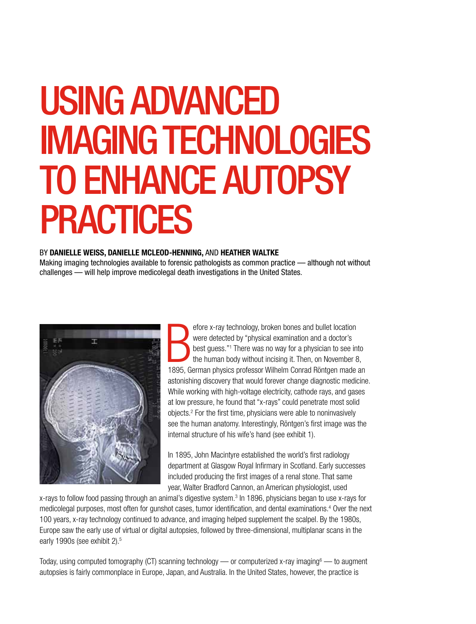# USING ADVANCED IMAGING TECHNOLOGIES TO ENHANCE AUTOPSY PRACTICES

#### BY DANIELLE WEISS, DANIELLE MCLEOD-HENNING, AND HEATHER WALTKE

Making imaging technologies available to forensic pathologists as common practice — although not without challenges — will help improve medicolegal death investigations in the United States.



efore x-ray technology, broken bones and bullet location<br>were detected by "physical examination and a doctor's<br>best guess."<sup>1</sup> There was no way for a physician to see into<br>the human body without incising it. Then, on Novem efore x-ray technology, broken bones and bullet location were detected by "physical examination and a doctor's best guess."1 There was no way for a physician to see into the human body without incising it. Then, on November 8, astonishing discovery that would forever change diagnostic medicine. While working with high-voltage electricity, cathode rays, and gases at low pressure, he found that "x-rays" could penetrate most solid objects.2 For the first time, physicians were able to noninvasively see the human anatomy. Interestingly, Röntgen's first image was the internal structure of his wife's hand (see exhibit 1).

In 1895, John Macintyre established the world's first radiology department at Glasgow Royal Infirmary in Scotland. Early successes included producing the first images of a renal stone. That same year, Walter Bradford Cannon, an American physiologist, used

x-rays to follow food passing through an animal's digestive system.<sup>3</sup> In 1896, physicians began to use x-rays for medicolegal purposes, most often for gunshot cases, tumor identification, and dental examinations.<sup>4</sup> Over the next 100 years, x-ray technology continued to advance, and imaging helped supplement the scalpel. By the 1980s, Europe saw the early use of virtual or digital autopsies, followed by three-dimensional, multiplanar scans in the early 1990s (see exhibit 2).<sup>5</sup>

Today, using computed tomography (CT) scanning technology — or computerized x-ray imaging<sup>6</sup> — to augment autopsies is fairly commonplace in Europe, Japan, and Australia. In the United States, however, the practice is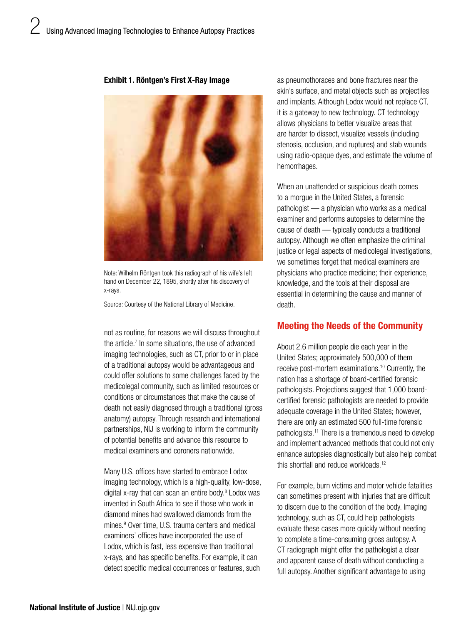#### Exhibit 1. Röntgen's First X-Ray Image



Note: Wilhelm Röntgen took this radiograph of his wife's left hand on December 22, 1895, shortly after his discovery of x-rays.

Source: Courtesy of the National Library of Medicine.

not as routine, for reasons we will discuss throughout the article.7 In some situations, the use of advanced imaging technologies, such as CT, prior to or in place of a traditional autopsy would be advantageous and could offer solutions to some challenges faced by the medicolegal community, such as limited resources or conditions or circumstances that make the cause of death not easily diagnosed through a traditional (gross anatomy) autopsy. Through research and international partnerships, NIJ is working to inform the community of potential benefits and advance this resource to medical examiners and coroners nationwide.

Many U.S. offices have started to embrace Lodox imaging technology, which is a high-quality, low-dose, digital x-ray that can scan an entire body.8 Lodox was invented in South Africa to see if those who work in diamond mines had swallowed diamonds from the mines.9 Over time, U.S. trauma centers and medical examiners' offices have incorporated the use of Lodox, which is fast, less expensive than traditional x-rays, and has specific benefits. For example, it can detect specific medical occurrences or features, such

as pneumothoraces and bone fractures near the skin's surface, and metal objects such as projectiles and implants. Although Lodox would not replace CT, it is a gateway to new technology. CT technology allows physicians to better visualize areas that are harder to dissect, visualize vessels (including stenosis, occlusion, and ruptures) and stab wounds using radio-opaque dyes, and estimate the volume of hemorrhages.

When an unattended or suspicious death comes to a morgue in the United States, a forensic pathologist — a physician who works as a medical examiner and performs autopsies to determine the cause of death — typically conducts a traditional autopsy. Although we often emphasize the criminal justice or legal aspects of medicolegal investigations, we sometimes forget that medical examiners are physicians who practice medicine; their experience, knowledge, and the tools at their disposal are essential in determining the cause and manner of death.

## Meeting the Needs of the Community

About 2.6 million people die each year in the United States; approximately 500,000 of them receive post-mortem examinations.10 Currently, the nation has a shortage of board-certified forensic pathologists. Projections suggest that 1,000 boardcertified forensic pathologists are needed to provide adequate coverage in the United States; however, there are only an estimated 500 full-time forensic pathologists.11 There is a tremendous need to develop and implement advanced methods that could not only enhance autopsies diagnostically but also help combat this shortfall and reduce workloads.12

For example, burn victims and motor vehicle fatalities can sometimes present with injuries that are difficult to discern due to the condition of the body. Imaging technology, such as CT, could help pathologists evaluate these cases more quickly without needing to complete a time-consuming gross autopsy. A CT radiograph might offer the pathologist a clear and apparent cause of death without conducting a full autopsy. Another significant advantage to using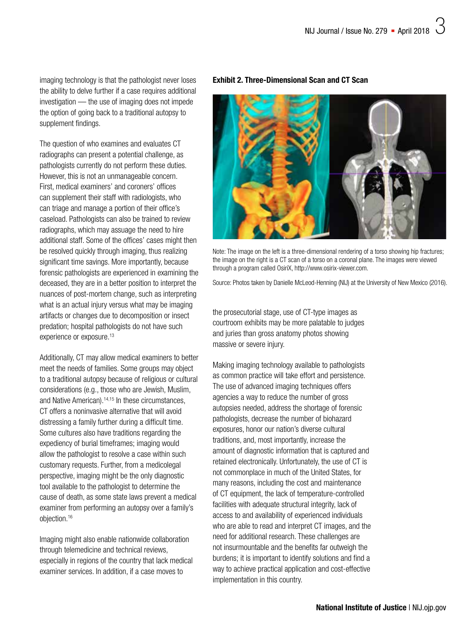imaging technology is that the pathologist never loses the ability to delve further if a case requires additional investigation — the use of imaging does not impede the option of going back to a traditional autopsy to supplement findings.

The question of who examines and evaluates CT radiographs can present a potential challenge, as pathologists currently do not perform these duties. However, this is not an unmanageable concern. First, medical examiners' and coroners' offices can supplement their staff with radiologists, who can triage and manage a portion of their office's caseload. Pathologists can also be trained to review radiographs, which may assuage the need to hire additional staff. Some of the offices' cases might then be resolved quickly through imaging, thus realizing significant time savings. More importantly, because forensic pathologists are experienced in examining the deceased, they are in a better position to interpret the nuances of post-mortem change, such as interpreting what is an actual injury versus what may be imaging artifacts or changes due to decomposition or insect predation; hospital pathologists do not have such experience or exposure.<sup>13</sup>

Additionally, CT may allow medical examiners to better meet the needs of families. Some groups may object to a traditional autopsy because of religious or cultural considerations (e.g., those who are Jewish, Muslim, and Native American).<sup>14,15</sup> In these circumstances, CT offers a noninvasive alternative that will avoid distressing a family further during a difficult time. Some cultures also have traditions regarding the expediency of burial timeframes; imaging would allow the pathologist to resolve a case within such customary requests. Further, from a medicolegal perspective, imaging might be the only diagnostic tool available to the pathologist to determine the cause of death, as some state laws prevent a medical examiner from performing an autopsy over a family's objection.16

Imaging might also enable nationwide collaboration through telemedicine and technical reviews, especially in regions of the country that lack medical examiner services. In addition, if a case moves to

#### Exhibit 2. Three-Dimensional Scan and CT Scan



Note: The image on the left is a three-dimensional rendering of a torso showing hip fractures; the image on the right is a CT scan of a torso on a coronal plane. The images were viewed through a program called OsiriX, [http://www.osirix-viewer.com.](http://www.osirix-viewer.com)

Source: Photos taken by Danielle McLeod-Henning (NIJ) at the University of New Mexico (2016).

the prosecutorial stage, use of CT-type images as courtroom exhibits may be more palatable to judges and juries than gross anatomy photos showing massive or severe injury.

Making imaging technology available to pathologists as common practice will take effort and persistence. The use of advanced imaging techniques offers agencies a way to reduce the number of gross autopsies needed, address the shortage of forensic pathologists, decrease the number of biohazard exposures, honor our nation's diverse cultural traditions, and, most importantly, increase the amount of diagnostic information that is captured and retained electronically. Unfortunately, the use of CT is not commonplace in much of the United States, for many reasons, including the cost and maintenance of CT equipment, the lack of temperature-controlled facilities with adequate structural integrity, lack of access to and availability of experienced individuals who are able to read and interpret CT images, and the need for additional research. These challenges are not insurmountable and the benefits far outweigh the burdens; it is important to identify solutions and find a way to achieve practical application and cost-effective implementation in this country.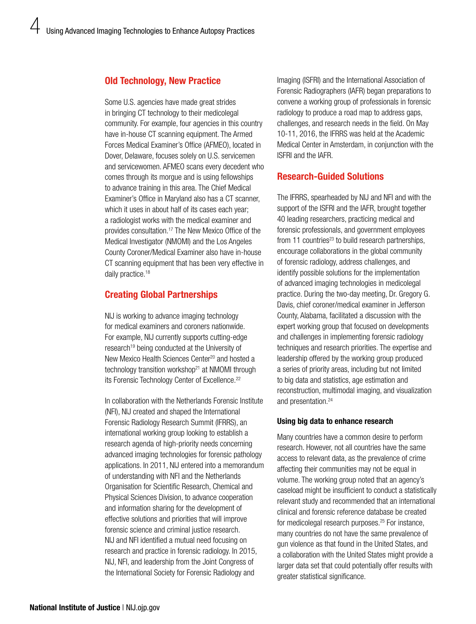## Old Technology, New Practice

Some U.S. agencies have made great strides in bringing CT technology to their medicolegal community. For example, four agencies in this country have in-house CT scanning equipment. The Armed Forces Medical Examiner's Office (AFMEO), located in Dover, Delaware, focuses solely on U.S. servicemen and servicewomen. AFMEO scans every decedent who comes through its morgue and is using fellowships to advance training in this area. The Chief Medical Examiner's Office in Maryland also has a CT scanner, which it uses in about half of its cases each year; a radiologist works with the medical examiner and provides consultation.17 The New Mexico Office of the Medical Investigator (NMOMI) and the Los Angeles County Coroner/Medical Examiner also have in-house CT scanning equipment that has been very effective in daily practice.<sup>18</sup>

# Creating Global Partnerships

NIJ is working to advance imaging technology for medical examiners and coroners nationwide. For example, NIJ currently supports cutting-edge research<sup>19</sup> being conducted at the University of New Mexico Health Sciences Center<sup>20</sup> and hosted a technology transition workshop<sup>21</sup> at NMOMI through its Forensic Technology Center of Excellence.<sup>22</sup>

In collaboration with the Netherlands Forensic Institute (NFI), NIJ created and shaped the International Forensic Radiology Research Summit (IFRRS), an international working group looking to establish a research agenda of high-priority needs concerning advanced imaging technologies for forensic pathology applications. In 2011, NIJ entered into a memorandum of understanding with NFI and the Netherlands Organisation for Scientific Research, Chemical and Physical Sciences Division, to advance cooperation and information sharing for the development of effective solutions and priorities that will improve forensic science and criminal justice research. NIJ and NFI identified a mutual need focusing on research and practice in forensic radiology. In 2015, NIJ, NFI, and leadership from the Joint Congress of the International Society for Forensic Radiology and

Imaging (ISFRI) and the International Association of Forensic Radiographers (IAFR) began preparations to convene a working group of professionals in forensic radiology to produce a road map to address gaps, challenges, and research needs in the field. On May 10-11, 2016, the IFRRS was held at the Academic Medical Center in Amsterdam, in conjunction with the ISFRI and the IAFR.

# Research-Guided Solutions

The IFRRS, spearheaded by NIJ and NFI and with the support of the ISFRI and the IAFR, brought together 40 leading researchers, practicing medical and forensic professionals, and government employees from 11 countries<sup>23</sup> to build research partnerships. encourage collaborations in the global community of forensic radiology, address challenges, and identify possible solutions for the implementation of advanced imaging technologies in medicolegal practice. During the two-day meeting, Dr. Gregory G. Davis, chief coroner/medical examiner in Jefferson County, Alabama, facilitated a discussion with the expert working group that focused on developments and challenges in implementing forensic radiology techniques and research priorities. The expertise and leadership offered by the working group produced a series of priority areas, including but not limited to big data and statistics, age estimation and reconstruction, multimodal imaging, and visualization and presentation.24

#### Using big data to enhance research

Many countries have a common desire to perform research. However, not all countries have the same access to relevant data, as the prevalence of crime affecting their communities may not be equal in volume. The working group noted that an agency's caseload might be insufficient to conduct a statistically relevant study and recommended that an international clinical and forensic reference database be created for medicolegal research purposes.<sup>25</sup> For instance, many countries do not have the same prevalence of gun violence as that found in the United States, and a collaboration with the United States might provide a larger data set that could potentially offer results with greater statistical significance.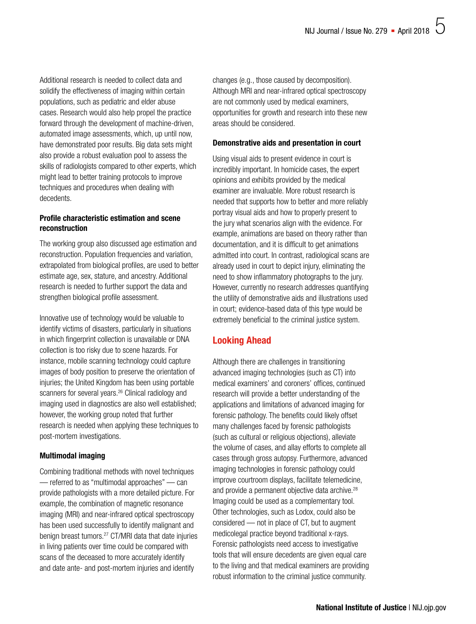Additional research is needed to collect data and solidify the effectiveness of imaging within certain populations, such as pediatric and elder abuse cases. Research would also help propel the practice forward through the development of machine-driven, automated image assessments, which, up until now, have demonstrated poor results. Big data sets might also provide a robust evaluation pool to assess the skills of radiologists compared to other experts, which might lead to better training protocols to improve techniques and procedures when dealing with decedents.

## Profile characteristic estimation and scene reconstruction

The working group also discussed age estimation and reconstruction. Population frequencies and variation, extrapolated from biological profiles, are used to better estimate age, sex, stature, and ancestry. Additional research is needed to further support the data and strengthen biological profile assessment.

Innovative use of technology would be valuable to identify victims of disasters, particularly in situations in which fingerprint collection is unavailable or DNA collection is too risky due to scene hazards. For instance, mobile scanning technology could capture images of body position to preserve the orientation of injuries; the United Kingdom has been using portable scanners for several years.<sup>26</sup> Clinical radiology and imaging used in diagnostics are also well established; however, the working group noted that further research is needed when applying these techniques to post-mortem investigations.

## Multimodal imaging

Combining traditional methods with novel techniques — referred to as "multimodal approaches" — can provide pathologists with a more detailed picture. For example, the combination of magnetic resonance imaging (MRI) and near-infrared optical spectroscopy has been used successfully to identify malignant and benign breast tumors.27 CT/MRI data that date injuries in living patients over time could be compared with scans of the deceased to more accurately identify and date ante- and post-mortem injuries and identify

changes (e.g., those caused by decomposition). Although MRI and near-infrared optical spectroscopy are not commonly used by medical examiners, opportunities for growth and research into these new areas should be considered.

### Demonstrative aids and presentation in court

Using visual aids to present evidence in court is incredibly important. In homicide cases, the expert opinions and exhibits provided by the medical examiner are invaluable. More robust research is needed that supports how to better and more reliably portray visual aids and how to properly present to the jury what scenarios align with the evidence. For example, animations are based on theory rather than documentation, and it is difficult to get animations admitted into court. In contrast, radiological scans are already used in court to depict injury, eliminating the need to show inflammatory photographs to the jury. However, currently no research addresses quantifying the utility of demonstrative aids and illustrations used in court; evidence-based data of this type would be extremely beneficial to the criminal justice system.

# Looking Ahead

Although there are challenges in transitioning advanced imaging technologies (such as CT) into medical examiners' and coroners' offices, continued research will provide a better understanding of the applications and limitations of advanced imaging for forensic pathology. The benefits could likely offset many challenges faced by forensic pathologists (such as cultural or religious objections), alleviate the volume of cases, and allay efforts to complete all cases through gross autopsy. Furthermore, advanced imaging technologies in forensic pathology could improve courtroom displays, facilitate telemedicine, and provide a permanent objective data archive.<sup>28</sup> Imaging could be used as a complementary tool. Other technologies, such as Lodox, could also be considered — not in place of CT, but to augment medicolegal practice beyond traditional x-rays. Forensic pathologists need access to investigative tools that will ensure decedents are given equal care to the living and that medical examiners are providing robust information to the criminal justice community.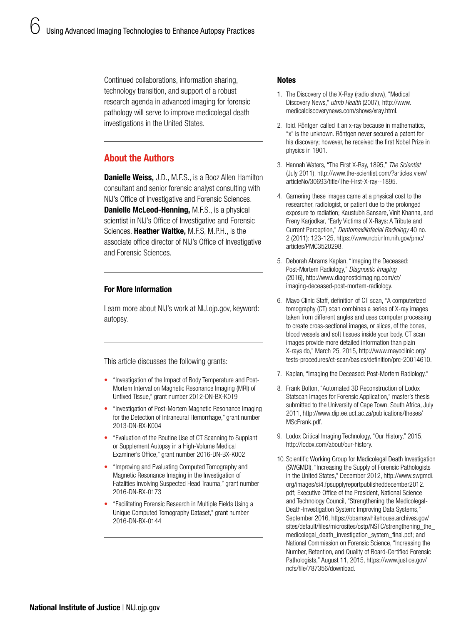Continued collaborations, information sharing, technology transition, and support of a robust research agenda in advanced imaging for forensic pathology will serve to improve medicolegal death investigations in the United States.

# About the Authors

**Danielle Weiss, J.D., M.F.S., is a Booz Allen Hamilton** consultant and senior forensic analyst consulting with NIJ's Office of Investigative and Forensic Sciences. **Danielle McLeod-Henning, M.F.S., is a physical** scientist in NIJ's Office of Investigative and Forensic Sciences. Heather Waltke, M.F.S, M.P.H., is the associate office director of NIJ's Office of Investigative and Forensic Sciences.

# For More Information

Learn more about NIJ's work at [NIJ.ojp.gov,](https://www.nij.gov/topics/forensics/evidence/pathology/pages/welcome.aspx) keyword: autopsy.

This article discusses the following grants:

- ["Investigation of the Impact of Body Temperature and Post-](https://www.nij.gov/funding/awards/pages/award-detail.aspx?award=2012-DN-BX-K019)[Mortem Interval on Magnetic Resonance Imaging \(MRI\) of](https://www.nij.gov/funding/awards/pages/award-detail.aspx?award=2012-DN-BX-K019)  [Unfixed Tissue," grant number 2012-DN-BX-K019](https://www.nij.gov/funding/awards/pages/award-detail.aspx?award=2012-DN-BX-K019)
- ["Investigation of Post-Mortem Magnetic Resonance Imaging](https://www.nij.gov/funding/awards/pages/award-detail.aspx?award=2013-DN-BX-K004)  [for the Detection of Intraneural Hemorrhage," grant number](https://www.nij.gov/funding/awards/pages/award-detail.aspx?award=2013-DN-BX-K004)  [2013-DN-BX-K004](https://www.nij.gov/funding/awards/pages/award-detail.aspx?award=2013-DN-BX-K004)
- ["Evaluation of the Routine Use of CT Scanning to Supplant](https://www.nij.gov/funding/awards/pages/award-detail.aspx?award=2016-DN-BX-K002)  [or Supplement Autopsy in a High-Volume Medical](https://www.nij.gov/funding/awards/pages/award-detail.aspx?award=2016-DN-BX-K002)  [Examiner's Office," grant number 2016-DN-BX-K002](https://www.nij.gov/funding/awards/pages/award-detail.aspx?award=2016-DN-BX-K002)
- ["Improving and Evaluating Computed Tomography and](https://www.nij.gov/funding/awards/pages/award-detail.aspx?award=2016-DN-BX-0173)  [Magnetic Resonance Imaging in the Investigation of](https://www.nij.gov/funding/awards/pages/award-detail.aspx?award=2016-DN-BX-0173)  [Fatalities Involving Suspected Head Trauma," grant number](https://www.nij.gov/funding/awards/pages/award-detail.aspx?award=2016-DN-BX-0173)  [2016-DN-BX-0173](https://www.nij.gov/funding/awards/pages/award-detail.aspx?award=2016-DN-BX-0173)
- ["Facilitating Forensic Research in Multiple Fields Using a](https://www.nij.gov/funding/awards/pages/award-detail.aspx?award=2016-DN-BX-0144)  [Unique Computed Tomography Dataset," grant number](https://www.nij.gov/funding/awards/pages/award-detail.aspx?award=2016-DN-BX-0144)  [2016-DN-BX-0144](https://www.nij.gov/funding/awards/pages/award-detail.aspx?award=2016-DN-BX-0144)

#### **Notes**

- 1. The Discovery of the X-Ray (radio show), "Medical Discovery News," *utmb Health* (2007), [http://www.](http://www.medicaldiscoverynews.com/shows/xray.html) [medicaldiscoverynews.com/shows/xray.html](http://www.medicaldiscoverynews.com/shows/xray.html).
- 2. Ibid. Röntgen called it an x-ray because in mathematics, "x" is the unknown. Röntgen never secured a patent for his discovery; however, he received the first Nobel Prize in physics in 1901.
- 3. Hannah Waters, "The First X-Ray, 1895," *The Scientist* (July 2011), h[ttp://www.the-scientist.com/?articles.view/](http://www.the-scientist.com/?articles.view/articleNo/30693/title/The-First-X-ray--1895) [articleNo/30693/title/The-First-X-ray--1895.](http://www.the-scientist.com/?articles.view/articleNo/30693/title/The-First-X-ray--1895)
- 4. Garnering these images came at a physical cost to the researcher, radiologist, or patient due to the prolonged exposure to radiation; Kaustubh Sansare, Vinit Khanna, and Freny Karjodkar, "Early Victims of X-Rays: A Tribute and Current Perception," *Dentomaxillofacial Radiology* 40 no. 2 (2011): 123-125, [https://www.ncbi.nlm.nih.gov/pmc/](https://www.ncbi.nlm.nih.gov/pmc/articles/PMC3520298) [articles/PMC3520298](https://www.ncbi.nlm.nih.gov/pmc/articles/PMC3520298).
- 5. Deborah Abrams Kaplan, "Imaging the Deceased: Post-Mortem Radiology," *Diagnostic Imaging* (2016), [http://www.diagnosticimaging.com/ct/](http://www.diagnosticimaging.com/ct/imaging-deceased-post-mortem-radiology) [imaging-deceased-post-mortem-radiology.](http://www.diagnosticimaging.com/ct/imaging-deceased-post-mortem-radiology)
- 6. Mayo Clinic Staff, definition of CT scan, "A computerized tomography (CT) scan combines a series of X-ray images taken from different angles and uses computer processing to create cross-sectional images, or slices, of the bones, blood vessels and soft tissues inside your body. CT scan images provide more detailed information than plain X-rays do," March 25, 2015, [http://www.mayoclinic.org/](http://www.mayoclinic.org/tests-procedures/ct-scan/basics/definition/prc-20014610) [tests-procedures/ct-scan/basics/definition/prc-20014610.](http://www.mayoclinic.org/tests-procedures/ct-scan/basics/definition/prc-20014610)
- 7. Kaplan, "Imaging the Deceased: Post-Mortem Radiology."
- 8. Frank Bolton, "Automated 3D Reconstruction of Lodox Statscan Images for Forensic Application," master's thesis submitted to the University of Cape Town, South Africa, July 2011, [http://www.dip.ee.uct.ac.za/publications/theses/](http://www.dip.ee.uct.ac.za/publications/theses/MScFrank.pdf) [MScFrank.pdf](http://www.dip.ee.uct.ac.za/publications/theses/MScFrank.pdf).
- 9. Lodox Critical Imaging Technology, "Our History," 2015, [http://lodox.com/about/our-history.](http://lodox.com/about/our-history)
- 10. Scientific Working Group for Medicolegal Death Investigation (SWGMDI), "Increasing the Supply of Forensic Pathologists in the United States," December 2012, [http://www.swgmdi.](http://www.swgmdi.org/images/si4.fpsupplyreportpublisheddecember2012.pdf) [org/images/si4.fpsupplyreportpublisheddecember2012.](http://www.swgmdi.org/images/si4.fpsupplyreportpublisheddecember2012.pdf) [pdf;](http://www.swgmdi.org/images/si4.fpsupplyreportpublisheddecember2012.pdf) Executive Office of the President, National Science and Technology Council, "Strengthening the Medicolegal-Death-Investigation System: Improving Data Systems," September 2016, [https://obamawhitehouse.archives.gov/](https://obamawhitehouse.archives.gov/sites/default/files/microsites/ostp/NSTC/strengthening_the_medicolegal_death_investigation_system_final.pdf) sites/default/files/microsites/ostp/NSTC/strengthening\_the [medicolegal\\_death\\_investigation\\_system\\_final.pdf](https://obamawhitehouse.archives.gov/sites/default/files/microsites/ostp/NSTC/strengthening_the_medicolegal_death_investigation_system_final.pdf); and National Commission on Forensic Science, "Increasing the Number, Retention, and Quality of Board-Certified Forensic Pathologists," August 11, 2015, [https://www.justice.gov/](https://www.justice.gov/ncfs/file/787356/download) [ncfs/file/787356/download](https://www.justice.gov/ncfs/file/787356/download).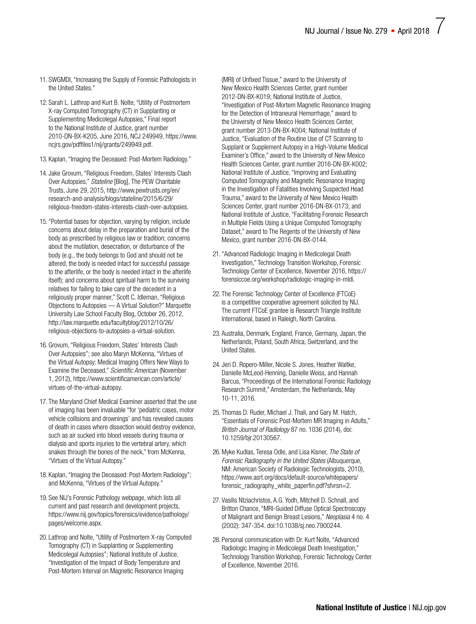- 11. SWGMDI, "Increasing the Supply of Forensic Pathologists in the United States."
- 12. Sarah L. Lathrop and Kurt B. Nolte, "Utility of Postmortem X-ray Computed Tomography (CT) in Supplanting or Supplementing Medicolegal Autopsies," Final report to the National Institute of Justice, grant number 2010-DN-BX-K205, June 2016, NCJ 249949, [https://www.](https://www.ncjrs.gov/pdffiles1/nij/grants/249949.pdf) [ncjrs.gov/pdffiles1/nij/grants/249949.pdf.](https://www.ncjrs.gov/pdffiles1/nij/grants/249949.pdf)
- 13. Kaplan, "Imaging the Deceased: Post-Mortem Radiology."
- 14. Jake Grovum, "Religious Freedom, States' Interests Clash Over Autopsies," *Stateline* [Blog], The PEW Charitable Trusts, June 29, 2015, [http://www.pewtrusts.org/en/](http://www.pewtrusts.org/en/research-and-analysis/blogs/stateline/2015/6/29/religious-freedom-states-interests-clash-over-autopsies) [research-and-analysis/blogs/stateline/2015/6/29/](http://www.pewtrusts.org/en/research-and-analysis/blogs/stateline/2015/6/29/religious-freedom-states-interests-clash-over-autopsies) [religious-freedom-states-interests-clash-over-autopsies](http://www.pewtrusts.org/en/research-and-analysis/blogs/stateline/2015/6/29/religious-freedom-states-interests-clash-over-autopsies).
- 15."Potential bases for objection, varying by religion, include concerns about delay in the preparation and burial of the body as prescribed by religious law or tradition; concerns about the mutilation, desecration, or disturbance of the body (e.g., the body belongs to God and should not be altered, the body is needed intact for successful passage to the afterlife, or the body is needed intact in the afterlife itself); and concerns about spiritual harm to the surviving relatives for failing to take care of the decedent in a religiously proper manner," Scott C. Idleman, "Religious Objections to Autopsies — A Virtual Solution?" Marquette University Law School Faculty Blog, October 26, 2012, [http://law.marquette.edu/facultyblog/2012/10/26/](http://law.marquette.edu/facultyblog/2012/10/26/religious-objections-to-autopsies-a-virtual-solution) [religious-objections-to-autopsies-a-virtual-solution.](http://law.marquette.edu/facultyblog/2012/10/26/religious-objections-to-autopsies-a-virtual-solution)
- 16. Grovum, "Religious Freedom, States' Interests Clash Over Autopsies"; see also Maryn McKenna, "Virtues of the Virtual Autopsy: Medical Imaging Offers New Ways to Examine the Deceased," *Scientific American* (November 1, 2012), [https://www.scientificamerican.com/article/](https://www.scientificamerican.com/article/virtues-of-the-virtual-autopsy) [virtues-of-the-virtual-autopsy.](https://www.scientificamerican.com/article/virtues-of-the-virtual-autopsy)
- 17. The Maryland Chief Medical Examiner asserted that the use of imaging has been invaluable "for 'pediatric cases, motor vehicle collisions and drownings' and has revealed causes of death in cases where dissection would destroy evidence, such as air sucked into blood vessels during trauma or dialysis and sports injuries to the vertebral artery, which snakes through the bones of the neck," from McKenna, "Virtues of the Virtual Autopsy."
- 18. Kaplan, "Imaging the Deceased: Post-Mortem Radiology"; and McKenna, "Virtues of the Virtual Autopsy."
- 19. See NIJ's Forensic Pathology webpage, which lists all current and past research and development projects, [https://www.nij.gov/topics/forensics/evidence/pathology/](https://www.nij.gov/topics/forensics/evidence/pathology/pages/welcome.aspx) [pages/welcome.aspx.](https://www.nij.gov/topics/forensics/evidence/pathology/pages/welcome.aspx)
- 20. Lathrop and Nolte, "Utility of Postmortem X-ray Computed Tomography (CT) in Supplanting or Supplementing Medicolegal Autopsies"; National Institute of Justice, "Investigation of the Impact of Body Temperature and Post-Mortem Interval on Magnetic Resonance Imaging

(MRI) of Unfixed Tissue," award to the University of New Mexico Health Sciences Center, grant number 2012-DN-BX-K019; National Institute of Justice, "Investigation of Post-Mortem Magnetic Resonance Imaging for the Detection of Intraneural Hemorrhage," award to the University of New Mexico Health Sciences Center, grant number 2013-DN-BX-K004; National Institute of Justice, "Evaluation of the Routine Use of CT Scanning to Supplant or Supplement Autopsy in a High-Volume Medical Examiner's Office," award to the University of New Mexico Health Sciences Center, grant number 2016-DN-BX-K002; National Institute of Justice, "Improving and Evaluating Computed Tomography and Magnetic Resonance Imaging in the Investigation of Fatalities Involving Suspected Head Trauma," award to the University of New Mexico Health Sciences Center, grant number 2016-DN-BX-0173; and National Institute of Justice, "Facilitating Forensic Research in Multiple Fields Using a Unique Computed Tomography Dataset," award to The Regents of the University of New Mexico, grant number 2016-DN-BX-0144.

- 21."Advanced Radiologic Imaging in Medicolegal Death Investigation," Technology Transition Workshop, Forensic Technology Center of Excellence, November 2016, [https://](https://forensiccoe.org/workshop/radiologic-imaging-in-mldi) [forensiccoe.org/workshop/radiologic-imaging-in-mldi.](https://forensiccoe.org/workshop/radiologic-imaging-in-mldi)
- 22. The Forensic Technology Center of Excellence (FTCoE) is a competitive cooperative agreement solicited by NIJ. The current FTCoE grantee is Research Triangle Institute International, based in Raleigh, North Carolina.
- 23. Australia, Denmark, England, France, Germany, Japan, the Netherlands, Poland, South Africa, Switzerland, and the United States.
- 24. Jeri D. Ropero-Miller, Nicole S. Jones, Heather Waltke, Danielle McLeod-Henning, Danielle Weiss, and Hannah Barcus, "Proceedings of the International Forensic Radiology Research Summit," Amsterdam, the Netherlands, May 10-11, 2016.
- 25. Thomas D. Ruder, Michael J. Thali, and Gary M. Hatch, "Essentials of Forensic Post-Mortem MR Imaging in Adults," *British Journal of Radiology* 87 no. 1036 (2014), doi: 10.1259/bjr.20130567.
- 26.Myke Kudlas, Teresa Odle, and Lisa Kisner, *The State of Forensic Radiography in the United States* (Albuquerque, NM: American Society of Radiologic Technologists, 2010), [https://www.asrt.org/docs/default-source/whitepapers/](https://www.asrt.org/docs/default-source/whitepapers/forensic_radiography_white_paperfin.pdf?sfvrsn=2) [forensic\\_radiography\\_white\\_paperfin.pdf?sfvrsn=2](https://www.asrt.org/docs/default-source/whitepapers/forensic_radiography_white_paperfin.pdf?sfvrsn=2).
- 27. Vasilis Ntziachristos, A.G. Yodh, Mitchell D. Schnall, and Britton Chance, "MRI-Guided Diffuse Optical Spectroscopy of Malignant and Benign Breast Lesions," *Neoplasia* 4 no. 4 (2002): 347-354. doi:10.1038/sj.neo.7900244.
- 28. Personal communication with Dr. Kurt Nolte, "Advanced Radiologic Imaging in Medicolegal Death Investigation," Technology Transition Workshop, Forensic Technology Center of Excellence, November 2016.